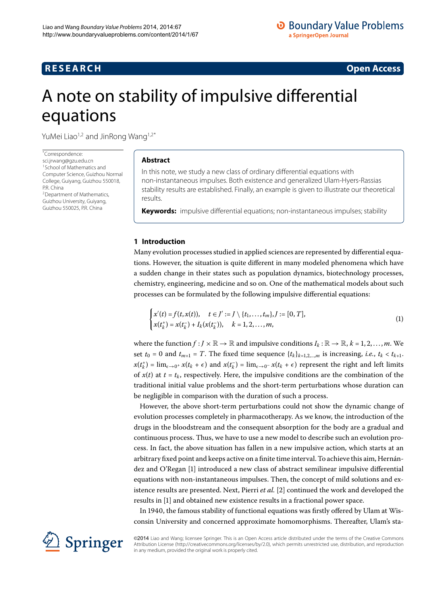# <span id="page-0-2"></span><span id="page-0-0"></span>A note on stability of impulsive differential equations

<span id="page-0-1"></span>YuMei Liao<sup>1,[2](#page-0-1)</sup> and JinRong Wang<sup>[1](#page-0-0)[,2](#page-0-1)[\\*](#page-0-2)</sup>

\* Correspondence:

[sci.jrwang@gzu.edu.cn](mailto:sci.jrwang@gzu.edu.cn) 1School of Mathematics and Computer Science, Guizhou Normal College, Guiyang, Guizhou 550018, P.R. China 2Department of Mathematics, Guizhou University, Guiyang, Guizhou 550025, P.R. China

## **Abstract**

In this note, we study a new class of ordinary differential equations with non-instantaneous impulses. Both existence and generalized Ulam-Hyers-Rassias stability results are established. Finally, an example is given to illustrate our theoretical results.

**Keywords:** impulsive differential equations; non-instantaneous impulses; stability

# **1 Introduction**

Many evolution processes studied in applied sciences are represented by differential equations. However, the situation is quite different in many modeled phenomena which have a sudden change in their states such as population dynamics, biotechnology processes, chemistry, engineering, medicine and so on. One of the mathematical models about such processes can be formulated by the following impulsive differential equations:

$$
\begin{cases} x'(t) = f(t, x(t)), & t \in J' := J \setminus \{t_1, \ldots, t_m\}, J := [0, T], \\ x(t_k^+) = x(t_k^-) + I_k(x(t_k^-)), & k = 1, 2, \ldots, m, \end{cases}
$$
\n(1)

where the function  $f : J \times \mathbb{R} \to \mathbb{R}$  and impulsive conditions  $I_k : \mathbb{R} \to \mathbb{R}$ ,  $k = 1, 2, ..., m$ . We set  $t_0 = 0$  and  $t_{m+1} = T$ . The fixed time sequence  $\{t_k\}_{k=1,2,\dots,m}$  is increasing, *i.e.*,  $t_k < t_{k+1}$ .  $x(t_k^+) = \lim_{\epsilon \to 0^+} x(t_k + \epsilon)$  and  $x(t_k^-) = \lim_{\epsilon \to 0^-} x(t_k + \epsilon)$  represent the right and left limits of  $x(t)$  at  $t = t_k$ , respectively. Here, the impulsive conditions are the combination of the traditional initial value problems and the short-term perturbations whose duration can be negligible in comparison with the duration of such a process.

However, the above short-term perturbations could not show the dynamic change of evolution processes completely in pharmacotherapy. As we know, the introduction of the drugs in the bloodstream and the consequent absorption for the body are a gradual and continuous process. Thus, we have to use a new model to describe such an evolution process. In fact, the above situation has fallen in a new impulsive action, which starts at an arbitrary fixed point and keeps active on a finite time interval. To achieve this aim, Hernández and O'Regan [] introduced a new class of abstract semilinear impulsive differential equations with non-instantaneous impulses. Then, the concept of mild solutions and ex-istence results are presented. Next, Pierri et al. [2[\]](#page-7-1) continued the work and developed the results in [\[](#page-7-0)1] and obtained new existence results in a fractional power space.

In 1940, the famous stability of functional equations was firstly offered by Ulam at Wisconsin University and concerned approximate homomorphisms. Thereafter, Ulam's sta-



©2014 Liao and Wang; licensee Springer. This is an Open Access article distributed under the terms of the Creative Commons Attribution License [\(http://creativecommons.org/licenses/by/2.0](http://creativecommons.org/licenses/by/2.0)), which permits unrestricted use, distribution, and reproduction in any medium, provided the original work is properly cited.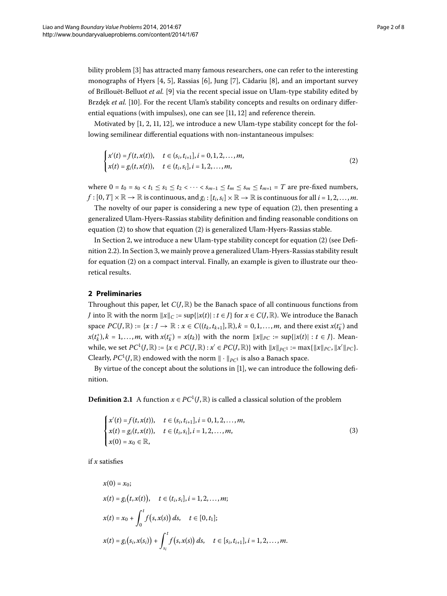bility problem [\[](#page-7-2)3] has attracted many famous researchers, one can refer to the interesting monographs of Hyers [4[,](#page-7-3) 5[\]](#page-7-7), Rassias [6], Jung [7], Cădariu [8], and an important survey of Brillouët-Belluot *et al.* [\[](#page-7-8)9] via the recent special issue on Ulam-type stability edited by Brzdek *et al.* [10]. For the recent Ulam's stability concepts and results on ordinary differential equations (with impulses), one can see  $[11, 12]$  $[11, 12]$  and reference therein.

Motivated by  $[1, 2, 11, 12]$  $[1, 2, 11, 12]$  $[1, 2, 11, 12]$  $[1, 2, 11, 12]$ , we introduce a new Ulam-type stability concept for the following semilinear differential equations with non-instantaneous impulses:

<span id="page-1-0"></span>
$$
\begin{cases} x'(t) = f(t, x(t)), & t \in (s_i, t_{i+1}], i = 0, 1, 2, ..., m, \\ x(t) = g_i(t, x(t)), & t \in (t_i, s_i], i = 1, 2, ..., m, \end{cases}
$$
\n(2)

where  $0 = t_0 = s_0 < t_1 \le s_1 \le t_2 < \cdots < s_{m-1} \le t_m \le s_m \le t_{m+1} = T$  are pre-fixed numbers,  $f:[0,T]\times\mathbb{R}\to\mathbb{R}$  is continuous, and  $g_i:[t_i,s_i]\times\mathbb{R}\to\mathbb{R}$  is continuous for all  $i=1,2,\ldots,m$ .

The novelty of our paper is considering a new type of equation  $(2)$  $(2)$ , then presenting a generalized Ulam-Hyers-Rassias stability definition and finding reasonable conditions on equation  $(2)$  $(2)$  to show that equation  $(2)$  $(2)$  is generalized Ulam-Hyers-Rassias stable.

<span id="page-1-1"></span>In Section 2[,](#page-1-1) we introduce a new Ulam-type stability concept for equation  $(2)$  $(2)$  (see Defi-nition 2.2). In Section 3[,](#page-3-0) we mainly prove a generalized Ulam-Hyers-Rassias stability result for equation  $(2)$  $(2)$  on a compact interval. Finally, an example is given to illustrate our theoretical results.

## **2 Preliminaries**

Throughout this paper, let  $C(J,\mathbb{R})$  be the Banach space of all continuous functions from *J* into R with the norm  $\|x\|_C := \sup\{|x(t)| : t \in J\}$  for  $x \in C(J, \mathbb{R})$ . We introduce the Banach space  $PC(J, \mathbb{R}) := \{x : J \to \mathbb{R} : x \in C((t_k, t_{k+1}], \mathbb{R}), k = 0, 1, \ldots, m$ , and there exist  $x(t_k^-)$  and  $x(t_k^+), k = 1, ..., m$ , with  $x(t_k^-) = x(t_k)$  with the norm  $||x||_{PC} := \sup\{|x(t)| : t \in J\}$ . Meanwhile, we set  $PC^1(J, \mathbb{R}) := \{x \in PC(J, \mathbb{R}) : x' \in PC(J, \mathbb{R})\}$  with  $||x||_{PC} := \max\{||x||_{PC}, ||x'||_{PC}\}.$ Clearly,  $PC^1(J, \mathbb{R})$  endowed with the norm  $\|\cdot\|_{PC^1}$  is also a Banach space.

By virtue of the concept about the solutions in [[\]](#page-7-0), we can introduce the following definition.

**Definition 2.1** A function  $x \in PC^1(J, \mathbb{R})$  is called a classical solution of the problem

<span id="page-1-2"></span>
$$
\begin{cases}\n x'(t) = f(t, x(t)), & t \in (s_i, t_{i+1}], i = 0, 1, 2, \dots, m, \\
 x(t) = g_i(t, x(t)), & t \in (t_i, s_i], i = 1, 2, \dots, m, \\
 x(0) = x_0 \in \mathbb{R},\n\end{cases}
$$
\n(3)

if *x* satisfies

$$
x(0) = x_0;
$$
  
\n
$$
x(t) = g_i(t, x(t)), \quad t \in (t_i, s_i], i = 1, 2, ..., m;
$$
  
\n
$$
x(t) = x_0 + \int_0^t f(s, x(s)) ds, \quad t \in [0, t_1];
$$
  
\n
$$
x(t) = g_i(s_i, x(s_i)) + \int_{s_i}^t f(s, x(s)) ds, \quad t \in [s_i, t_{i+1}], i = 1, 2, ..., m.
$$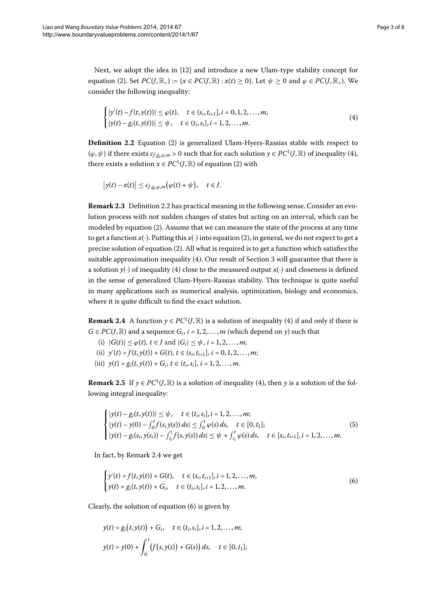<span id="page-2-0"></span>Next, we adopt the idea in [12] and introduce a new Ulam-type stability concept for equation [\(](#page-1-0)2). Set  $PC(J, \mathbb{R}_+) := \{x \in PC(J, \mathbb{R}) : x(t) \ge 0\}$ . Let  $\psi \ge 0$  and  $\varphi \in PC(J, \mathbb{R}_+)$ . We consider the following inequality:

<span id="page-2-1"></span>
$$
\begin{cases} |y'(t) - f(t, y(t))| \le \varphi(t), & t \in (s_i, t_{i+1}], i = 0, 1, 2, ..., m, \\ |y(t) - g_i(t, y(t))| \le \psi, & t \in (t_i, s_i], i = 1, 2, ..., m. \end{cases}
$$
\n(4)

**Definition 2.2** Equation (2[\)](#page-1-0) is generalized Ulam-Hyers-Rassias stable with respect to  $(\varphi, \psi)$  if there exists  $c_{f,g_i,\varphi,m} > 0$  such that for each solution  $y \in PC^1(J, \mathbb{R})$  of inequality (4), there exists a solution  $x \in PC^1(J, \mathbb{R})$  $x \in PC^1(J, \mathbb{R})$  $x \in PC^1(J, \mathbb{R})$  of equation (2) with

$$
\big|y(t)-x(t)\big|\leq c_{f,g_i,\varphi,m}\big(\varphi(t)+\psi\big),\quad t\in J.
$$

<span id="page-2-2"></span>**Remark 2[.](#page-2-0)3** Definition 2.2 has practical meaning in the following sense. Consider an evolution process with not sudden changes of states but acting on an interval, which can be modeled by equation  $(2)$  $(2)$ . Assume that we can measure the state of the process at any time to get a function  $x(\cdot)$  $x(\cdot)$ . Putting this  $x(\cdot)$  into equation (2), in general, we do not expect to get a precise solution of equation (2[\)](#page-1-0). All what is required is to get a function which satisfies the suitable approximation inequality  $(4)$ . Our result of Section 3 will guarantee that there is a solution  $y(\cdot)$  of inequality (4) close to the measured output  $x(\cdot)$  and closeness is defined in the sense of generalized Ulam-Hyers-Rassias stability. This technique is quite useful in many applications such as numerical analysis, optimization, biology and economics, where it is quite difficult to find the exact solution.

**Remark 2.4** A function  $y \in PC^1(J, \mathbb{R})$  $y \in PC^1(J, \mathbb{R})$  $y \in PC^1(J, \mathbb{R})$  is a solution of inequality (4) if and only if there is  $G \in PC(J, \mathbb{R})$  and a sequence  $G_i$ ,  $i = 1, 2, ..., m$  (which depend on *y*) such that

- <span id="page-2-4"></span>(i)  $|G(t)| \le \varphi(t), t \in J \text{ and } |G_i| \le \psi, i = 1, 2, ..., m;$
- (ii)  $y'(t) = f(t, y(t)) + G(t), t \in (s_i, t_{i+1}], i = 0, 1, 2, ..., m;$
- (iii)  $y(t) = g_i(t, y(t)) + G_i, t \in (t_i, s_i], i = 1, 2, ..., m$ .

**Remark 2.5** If  $y \in PC^1(J, \mathbb{R})$  is a solution of inequality (4), then *y* is a solution of the following integral inequality:

<span id="page-2-3"></span>
$$
\begin{cases}\n|y(t) - g_i(t, y(t))| \leq \psi, & t \in (t_i, s_i], i = 1, 2, ..., m; \\
|y(t) - y(0) - \int_0^t f(s, y(s)) ds| \leq \int_0^t \varphi(s) ds, & t \in [0, t_1]; \\
|y(t) - g_i(s_i, y(s_i)) - \int_{s_i}^t f(s, y(s)) ds| \leq \psi + \int_{s_i}^t \varphi(s) ds, & t \in [s_i, t_{i+1}], i = 1, 2, ..., m.\n\end{cases}
$$
\n(5)

In fact, by Remark 2[.](#page-2-2)4 we get

$$
\begin{cases}\ny'(t) = f(t, y(t)) + G(t), & t \in (s_i, t_{i+1}], i = 1, 2, \dots, m, \\
y(t) = g_i(t, y(t)) + G_i, & t \in (t_i, s_i], i = 1, 2, \dots, m.\n\end{cases}
$$
\n(6)

Clearly, the solution of equation  $(6)$  $(6)$  is given by

$$
y(t) = g_i(t, y(t)) + G_i, \quad t \in (t_i, s_i], i = 1, 2, ..., m;
$$
  

$$
y(t) = y(0) + \int_0^t (f(s, y(s)) + G(s)) ds, \quad t \in [0, t_1];
$$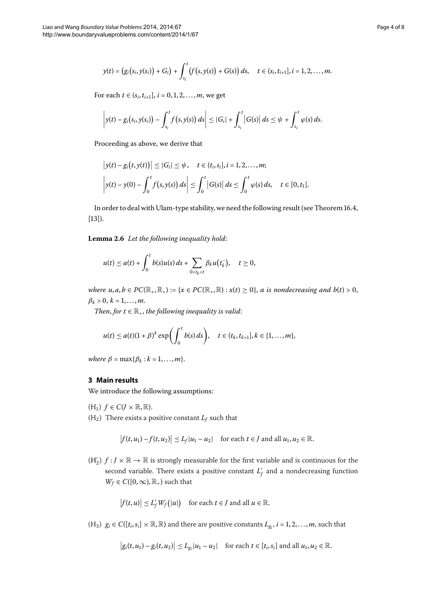$$
y(t) = (g_i(s_i, y(s_i)) + G_i) + \int_{s_i}^t (f(s, y(s)) + G(s)) ds, \quad t \in (s_i, t_{i+1}], i = 1, 2, ..., m.
$$

For each  $t \in (s_i, t_{i+1}], i = 0, 1, 2, ..., m$ , we get

$$
\left|y(t)-g_i(s_i,y(s_i))-\int_{s_i}^t f(s,y(s))\,ds\right|\leq |G_i|+\int_{s_i}^t |G(s)|\,ds\leq \psi+\int_{s_i}^t \varphi(s)\,ds.
$$

Proceeding as above, we derive that

<span id="page-3-1"></span>
$$
\begin{aligned} \left| y(t) - g_i(t, y(t)) \right| &\leq |G_i| \leq \psi, \quad t \in (t_i, s_i], i = 1, 2, \dots, m; \\ \left| y(t) - y(0) - \int_0^t f(s, y(s)) \, ds \right| &\leq \int_0^t |G(s)| \, ds \leq \int_0^t \varphi(s) \, ds, \quad t \in [0, t_1]. \end{aligned}
$$

In order to deal with Ulam-type stability, we need the following result (see Theorem  $16.4$ ,  $[13]$  $[13]$ .

Lemma 2.6 Let the following inequality hold:

$$
u(t) \leq a(t) + \int_0^t b(s)u(s) ds + \sum_{0 < t_k < t} \beta_k u(t_k), \quad t \geq 0,
$$

<span id="page-3-0"></span>*where*  $u, a, b \in PC(\mathbb{R}_+, \mathbb{R}_+) := \{x \in PC(\mathbb{R}_+, \mathbb{R}) : x(t) \ge 0\}$ , *a is nondecreasing and b(t)* > 0,  $\beta_k > 0, k = 1, ..., m$ .

*Then, for*  $t \in \mathbb{R}_+$ *, the following inequality is valid:* 

$$
u(t) \le a(t)(1+\beta)^k \exp\left(\int_0^t b(s) ds\right), \quad t \in (t_k, t_{k+1}], k \in \{1, ..., m\},\
$$

*where*  $\beta = \max\{\beta_k : k = 1, \ldots, m\}.$ 

## **3 Main results**

We introduce the following assumptions:

- $(H_1)$   $f \in C(J \times \mathbb{R}, \mathbb{R}).$
- $(H_2)$  There exists a positive constant  $L_f$  such that

$$
\left|f(t,u_1)-f(t,u_2)\right|\leq L_f|u_1-u_2| \quad \text{for each } t\in J \text{ and all } u_1,u_2\in\mathbb{R}.
$$

 $(H'_2)$   $f: J \times \mathbb{R} \to \mathbb{R}$  is strongly measurable for the first variable and is continuous for the second variable. There exists a positive constant  $L_f'$  and a nondecreasing function  $W_f \in C([0,\infty),\mathbb{R}_+)$  such that

$$
|f(t, u)| \le L_f' W_f(|u|) \quad \text{for each } t \in J \text{ and all } u \in \mathbb{R}.
$$

 $(H_3)$   $g_i \in C([t_i, s_i] \times \mathbb{R}, \mathbb{R})$  and there are positive constants  $L_{g_i}$ ,  $i = 1, 2, ..., m$ , such that

 $|g_i(t, u_1) - g_i(t, u_2)| \le L_{g_i} |u_1 - u_2|$  for each  $t \in [t_i, s_i]$  and all  $u_1, u_2 \in \mathbb{R}$ .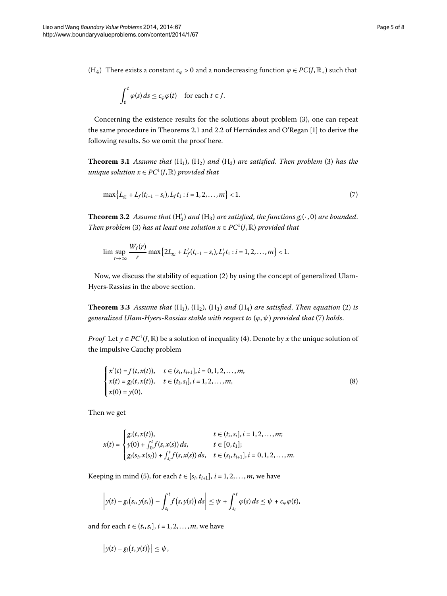<span id="page-4-1"></span>(H<sub>4</sub>) There exists a constant  $c_\varphi > 0$  and a nondecreasing function  $\varphi \in PC(J, \mathbb{R}_+)$  such that

<span id="page-4-0"></span>
$$
\int_0^t \varphi(s) \, ds \le c_\varphi \varphi(t) \quad \text{for each } t \in J.
$$

Concerning the existence results for the solutions about problem [\(](#page-1-2)3), one can repeat the same procedure in Theorems 2.1 and 2.2 of Hernández and O'Regan [1] to derive the following results. So we omit the proof here.

**Theorem 3.1** Assume that  $(H_1)$  $(H_1)$ ,  $(H_2)$  and  $(H_3)$  are satisfied. Then problem (3) has the *unique solution*  $x \in PC^1(J, \mathbb{R})$  *provided that* 

$$
\max\{L_{g_i} + L_f(t_{i+1} - s_i), L_f t_1 : i = 1, 2, ..., m\} < 1. \tag{7}
$$

**Theorem 3.2** Assume that  $(H_2')$  and  $(H_3)$  are satisfied, the functions  $g_i(\cdot, 0)$  are bounded. *Then problem* (3[\)](#page-1-2) *has at least one solution*  $x \in PC^1(J, \mathbb{R})$  *provided that* 

$$
\limsup_{r\to\infty}\frac{W_f(r)}{r}\max\big\{2L_{g_i}+L'_f(t_{i+1}-s_i),L'_ft_1:i=1,2,\ldots,m\big\}<1.
$$

Now, we discuss the stability of equation (2[\)](#page-1-0) by using the concept of generalized Ulam-Hyers-Rassias in the above section.

**Theorem 3.3** Assume that  $(H_1)$  $(H_1)$ ,  $(H_2)$ ,  $(H_3)$  and  $(H_4)$  are satisfied. Then equation (2) is *generalized Ulam-Hyers-Rassias stable with respect to*  $(\varphi, \psi)$  $(\varphi, \psi)$  *provided that* (7) *holds.* 

*Proof* Let  $y \in PC^1(J, \mathbb{R})$  be a solution of inequality (4). Denote by *x* the unique solution of the impulsive Cauchy problem

$$
\begin{cases}\n x'(t) = f(t, x(t)), & t \in (s_i, t_{i+1}], i = 0, 1, 2, \dots, m, \\
 x(t) = g_i(t, x(t)), & t \in (t_i, s_i], i = 1, 2, \dots, m, \\
 x(0) = y(0).\n\end{cases}
$$
\n(8)

Then we get

 $\overline{a}$ 

$$
x(t) = \begin{cases} g_i(t, x(t)), & t \in (t_i, s_i], i = 1, 2, ..., m; \\ y(0) + \int_0^t f(s, x(s)) ds, & t \in [0, t_1]; \\ g_i(s_i, x(s_i)) + \int_{s_i}^t f(s, x(s)) ds, & t \in (s_i, t_{i+1}], i = 0, 1, 2, ..., m. \end{cases}
$$

Keeping in mind (5[\)](#page-2-4), for each  $t \in [s_i, t_{i+1}], i = 1, 2, \ldots, m$ , we have

$$
\left| y(t) - g_i(s_i, y(s_i)) - \int_{s_i}^t f(s, y(s)) ds \right| \leq \psi + \int_{s_i}^t \varphi(s) ds \leq \psi + c_{\varphi} \varphi(t),
$$

and for each  $t \in (t_i, s_i]$ ,  $i = 1, 2, ..., m$ , we have

$$
\big|y(t)-g_i\big(t,y(t)\big)\big|\leq\psi,
$$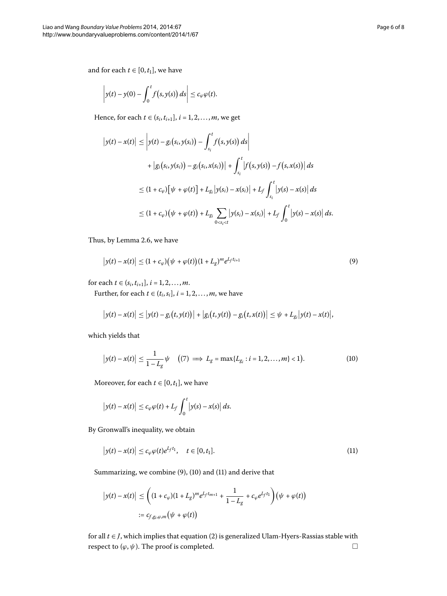and for each  $t \in [0, t_1]$ , we have

$$
\left|y(t)-y(0)-\int_0^t f\big(s,y(s)\big)\,ds\right|\leq c_\varphi\varphi(t).
$$

Hence, for each *t*  $\in$  (*s<sub>i</sub>*, *t*<sub>*i*+1</sub>], *i* = 1, 2, ..., *m*, we get

<span id="page-5-0"></span>
$$
\begin{aligned} \left| y(t) - x(t) \right| &\leq \left| y(t) - g_i(s_i, y(s_i)) - \int_{s_i}^t f(s, y(s)) \, ds \right| \\ &+ \left| g_i(s_i, y(s_i)) - g_i(s_i, x(s_i)) \right| + \int_{s_i}^t \left| f(s, y(s)) - f(s, x(s)) \right| \, ds \\ &\leq (1 + c_\varphi) \left[ \psi + \varphi(t) \right] + L_{g_i} \left| y(s_i) - x(s_i) \right| + L_f \int_{s_i}^t \left| y(s) - x(s) \right| \, ds \\ &\leq (1 + c_\varphi) \left( \psi + \varphi(t) \right) + L_{g_i} \sum_{0 < s_i < t} \left| y(s_i) - x(s_i) \right| + L_f \int_0^t \left| y(s) - x(s) \right| \, ds. \end{aligned}
$$

Thus, by Lemma 2.6, we have

$$
\left| y(t) - x(t) \right| \le (1 + c_{\varphi}) \left( \psi + \varphi(t) \right) (1 + L_g)^m e^{L_f t_{i+1}} \tag{9}
$$

for each  $t \in (s_i, t_{i+1}], i = 1, 2, ..., m$ .

Further, for each  $t \in (t_i, s_i], i = 1, 2, \ldots, m$ , we have

<span id="page-5-1"></span>
$$
\big|y(t)-x(t)\big| \leq \big|y(t)-g_i\big(t,y(t)\big)\big| + \big|g_i\big(t,y(t)\big)-g_i\big(t,x(t)\big)\big| \leq \psi + L_{g_i}\big|y(t)-x(t)\big|,
$$

which yields that

$$
|y(t) - x(t)| \le \frac{1}{1 - L_g} \psi \quad ((7) \implies L_g = \max\{L_{g_i} : i = 1, 2, ..., m\} < 1).
$$
\n(10)

Moreover, for each  $t \in [0, t_1]$ , we have

<span id="page-5-2"></span>
$$
\big|y(t)-x(t)\big|\leq c_{\varphi}\varphi(t)+L_f\int_0^t\big|y(s)-x(s)\big|\,ds.
$$

By Gronwall's inequality, we obtain

$$
\left|y(t)-x(t)\right| \leq c_{\varphi}\varphi(t)e^{L_{f}t_{1}}, \quad t \in [0,t_{1}].
$$
\n(11)

Summarizing, we combine  $(9)$  $(9)$ ,  $(10)$  and  $(11)$  and derive that

$$
|y(t) - x(t)| \leq \left( (1 + c_{\varphi})(1 + L_g)^m e^{L_f t_{m+1}} + \frac{1}{1 - L_g} + c_{\varphi} e^{L_f t_1} \right) \left( \psi + \varphi(t) \right)
$$
  
 :=  $c_{f,g_i,\varphi,m} (\psi + \varphi(t))$ 

for all  $t \in J$ , which implies that equation (2[\)](#page-1-0) is generalized Ulam-Hyers-Rassias stable with respect to  $(\varphi, \psi)$ . The proof is completed.  $\Box$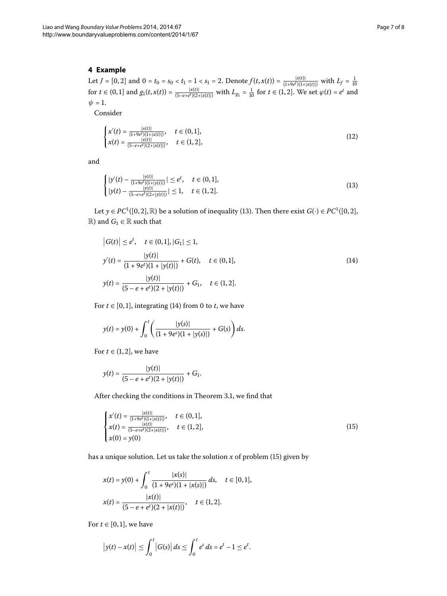## **4 Example**

Let  $J = [0,2]$  and  $0 = t_0 = s_0 < t_1 = 1 < s_1 = 2$ . Denote  $f(t, x(t)) = \frac{|x(t)|}{(1+9e^t)(1+|x(t)|)}$  with  $L_f = \frac{1}{10}$ <br>for  $t \in (0,1]$  and  $g_1(t, x(t)) = \frac{|x(t)|}{(5-e+e^t)(2+|x(t)|)}$  with  $L_{g_1} = \frac{1}{10}$  for  $t \in (1,2]$ . We set  $\varphi(t) = e^t$  and  $\psi = 1$ .

Consider

<span id="page-6-3"></span><span id="page-6-0"></span>
$$
\begin{cases}\n x'(t) = \frac{|x(t)|}{(1+9e^t)(1+|x(t)|)}, & t \in (0,1], \\
 x(t) = \frac{|x(t)|}{(5-e+e^t)(2+|x(t)|)}, & t \in (1,2],\n\end{cases}
$$
\n(12)

and

<span id="page-6-1"></span>
$$
\begin{cases} |y'(t) - \frac{|y(t)|}{(1+9e^t)(1+|y(t)|)}| \le e^t, & t \in (0,1],\\ |y(t) - \frac{|y(t)|}{(5-e+e^t)(2+|y(t)|)}| \le 1, & t \in (1,2]. \end{cases}
$$
(13)

Let  $y \in PC^1([0, 2], \mathbb{R})$  be a solution of inequality (13). Then there exist  $G(\cdot) \in PC^1([0, 2],$  $\mathbb{R}$ ) and  $G_1 \in \mathbb{R}$  such that

$$
|G(t)| \le e^t, \quad t \in (0,1], |G_1| \le 1,
$$
  
\n
$$
y'(t) = \frac{|y(t)|}{(1 + 9e^t)(1 + |y(t)|)} + G(t), \quad t \in (0,1],
$$
  
\n
$$
y(t) = \frac{|y(t)|}{(5 - e + e^t)(2 + |y(t)|)} + G_1, \quad t \in (1,2].
$$
\n(14)

For  $t \in [0, 1]$ , integrating (14) from 0 to *t*, we have

$$
y(t) = y(0) + \int_0^t \left( \frac{|y(s)|}{(1 + 9e^s)(1 + |y(s)|)} + G(s) \right) ds.
$$

For  $t \in (1, 2]$ , we have

<span id="page-6-2"></span>
$$
y(t) = \frac{|y(t)|}{(5 - e + e^t)(2 + |y(t)|)} + G_1.
$$

After checking the conditions in Theorem 3[.](#page-4-1)1, we find that

$$
\begin{cases}\n x'(t) = \frac{|x(t)|}{(1+9e^t)(1+|x(t)|)}, & t \in (0,1], \\
 x(t) = \frac{|x(t)|}{(5-e+e^t)(2+|x(t)|)}, & t \in (1,2], \\
 x(0) = y(0)\n\end{cases}
$$
\n(15)

has a unique solution. Let us take the solution  $x$  of problem [\(](#page-6-2)15) given by

$$
x(t) = y(0) + \int_0^t \frac{|x(s)|}{(1 + 9e^s)(1 + |x(s)|)} ds, \quad t \in [0, 1],
$$
  

$$
x(t) = \frac{|x(t)|}{(5 - e + e^t)(2 + |x(t)|)}, \quad t \in (1, 2].
$$

For  $t \in [0, 1]$ , we have

$$
|y(t) - x(t)| \le \int_0^t |G(s)| ds \le \int_0^t e^s ds = e^t - 1 \le e^t.
$$